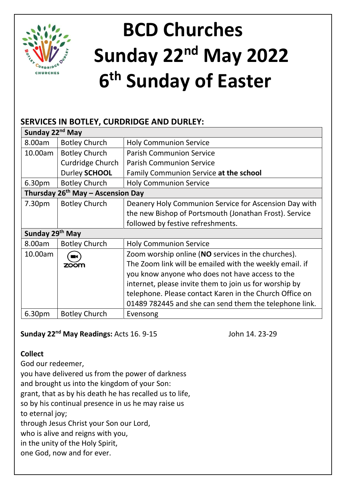

# **BCD Churches Sunday 22nd May 2022 6 th Sunday of Easter**

## **SERVICES IN BOTLEY, CURDRIDGE AND DURLEY:**

| Sunday 22 <sup>nd</sup> May |                                        |                                                         |  |  |  |
|-----------------------------|----------------------------------------|---------------------------------------------------------|--|--|--|
| 8.00am                      | <b>Botley Church</b>                   | <b>Holy Communion Service</b>                           |  |  |  |
| 10.00am                     | <b>Botley Church</b>                   | <b>Parish Communion Service</b>                         |  |  |  |
|                             | Curdridge Church                       | <b>Parish Communion Service</b>                         |  |  |  |
|                             | Durley SCHOOL                          | Family Communion Service at the school                  |  |  |  |
| 6.30pm                      | <b>Botley Church</b>                   | <b>Holy Communion Service</b>                           |  |  |  |
|                             | Thursday $26^{th}$ May – Ascension Day |                                                         |  |  |  |
| 7.30 <sub>pm</sub>          | <b>Botley Church</b>                   | Deanery Holy Communion Service for Ascension Day with   |  |  |  |
|                             |                                        | the new Bishop of Portsmouth (Jonathan Frost). Service  |  |  |  |
|                             |                                        | followed by festive refreshments.                       |  |  |  |
| Sunday 29th May             |                                        |                                                         |  |  |  |
| 8.00am                      | <b>Botley Church</b>                   | <b>Holy Communion Service</b>                           |  |  |  |
| 10.00am                     | n                                      | Zoom worship online (NO services in the churches).      |  |  |  |
|                             | zoom                                   | The Zoom link will be emailed with the weekly email. if |  |  |  |
|                             |                                        | you know anyone who does not have access to the         |  |  |  |
|                             |                                        | internet, please invite them to join us for worship by  |  |  |  |
|                             |                                        | telephone. Please contact Karen in the Church Office on |  |  |  |
|                             |                                        | 01489 782445 and she can send them the telephone link.  |  |  |  |
| 6.30 <sub>pm</sub>          | <b>Botley Church</b>                   | Evensong                                                |  |  |  |

## **Sunday 22nd May Readings:** Acts 16. 9-15 John 14. 23-29

## **Collect**

God our redeemer, you have delivered us from the power of darkness and brought us into the kingdom of your Son: grant, that as by his death he has recalled us to life, so by his continual presence in us he may raise us to eternal joy; through Jesus Christ your Son our Lord, who is alive and reigns with you, in the unity of the Holy Spirit, one God, now and for ever.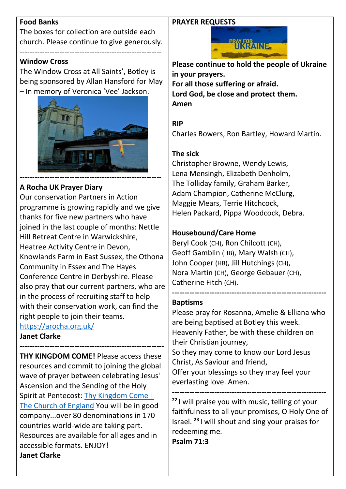#### **Food Banks**

The boxes for collection are outside each church. Please continue to give generously.

---------------------------------------------------------

#### **Window Cross**

The Window Cross at All Saints', Botley is being sponsored by Allan Hansford for May – In memory of Veronica 'Vee' Jackson.



## **A Rocha UK Prayer Diary**

Our conservation Partners in Action programme is growing rapidly and we give thanks for five new partners who have joined in the last couple of months: Nettle Hill Retreat Centre in Warwickshire, Heatree Activity Centre in Devon, Knowlands Farm in East Sussex, the Othona Community in Essex and The Hayes Conference Centre in Derbyshire. Please also pray that our current partners, who are in the process of recruiting staff to help with their conservation work, can find the right people to join their teams. <https://arocha.org.uk/>

**Janet Clarke**

**---------------------------------------------------------- THY KINGDOM COME!** Please access these resources and commit to joining the global wave of prayer between celebrating Jesus' Ascension and the Sending of the Holy Spirit at Pentecost: [Thy Kingdom Come |](https://www.churchofengland.org/resources/thy-kingdom-come)  [The Church of England](https://www.churchofengland.org/resources/thy-kingdom-come) You will be in good company...over 80 denominations in 170 countries world-wide are taking part. Resources are available for all ages and in accessible formats. ENJOY! **Janet Clarke**

#### **PRAYER REQUESTS**



**Please continue to hold the people of Ukraine in your prayers. For all those suffering or afraid. Lord God, be close and protect them. Amen**

#### **RIP**

Charles Bowers, Ron Bartley, Howard Martin.

#### **The sick**

Christopher Browne, Wendy Lewis, Lena Mensingh, Elizabeth Denholm, The Tolliday family, Graham Barker, Adam Champion, Catherine McClurg, Maggie Mears, Terrie Hitchcock, Helen Packard, Pippa Woodcock, Debra.

#### **Housebound/Care Home**

Beryl Cook (CH), Ron Chilcott (CH), Geoff Gamblin (HB), Mary Walsh (CH), John Cooper (HB), Jill Hutchings (CH), Nora Martin (CH), George Gebauer (CH), Catherine Fitch (CH).

#### **Baptisms**

Please pray for Rosanna, Amelie & Elliana who are being baptised at Botley this week. Heavenly Father, be with these children on their Christian journey, So they may come to know our Lord Jesus Christ, As Saviour and friend, Offer your blessings so they may feel your everlasting love. Amen.

**--------------------------------------------------------------**

**-------------------------------------------------------------- <sup>22</sup>** I will praise you with music, telling of your faithfulness to all your promises, O Holy One of Israel. **<sup>23</sup>** I will shout and sing your praises for redeeming me.

**Psalm 71:3**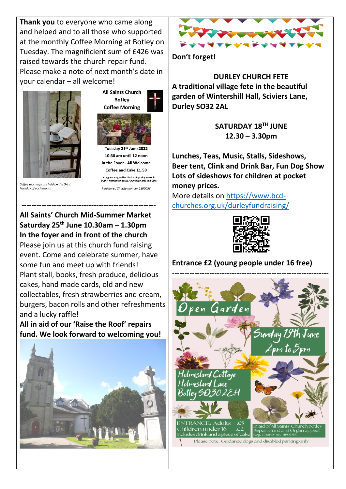**Thank you** to everyone who came along and helped and to all those who supported at the monthly Coffee Morning at Botley on Tuesday. The magnificient sum of £426 was raised towards the church repair fund. Please make a note of next month's date in your calendar – all welcome!



Tuesday of each month

**Botley Coffee Morning** 

**All Saints Church** 

Tuesday 21st June 2022 10:30 am until 12 noon In the Foyer - All Welcome Coffee and Cake £1.50 Bring and Buy, Raffle, Choice of quality Books &<br>DVD's. Homemade cakes, Greetings Cards and Gifts

Registered Charity number 1160056

### **------------------------------------------------------ All Saints' Church Mid-Summer Market Saturday 25th June 10.30am – 1.30pm In the foyer and in front of the church**

Please join us at this church fund raising event. Come and celebrate summer, have some fun and meet up with friends! Plant stall, books, fresh produce, delicious cakes, hand made cards, old and new collectables, fresh strawberries and cream, burgers, bacon rolls and other refreshments and a lucky raffle**!**

**All in aid of our 'Raise the Roof' repairs fund. We look forward to welcoming you!**





**Don't forget!**

**DURLEY CHURCH FETE A traditional village fete in the beautiful garden of Wintershill Hall, Sciviers Lane, Durley SO32 2AL**

> **SATURDAY 18TH JUNE 12.30 – 3.30pm**

**Lunches, Teas, Music, Stalls, Sideshows, Beer tent, Clink and Drink Bar, Fun Dog Show Lots of sideshows for children at pocket money prices.**

More details on [https://www.bcd](https://www.bcd-churches.org.uk/durleyfundraising/)[churches.org.uk/durleyfundraising/](https://www.bcd-churches.org.uk/durleyfundraising/)



**Entrance £2 (young people under 16 free)**